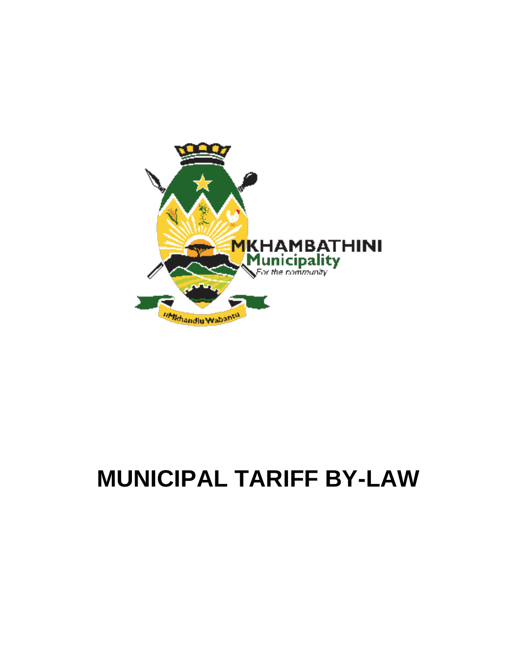

# **MUNICIPAL TARIFF BY-LAW**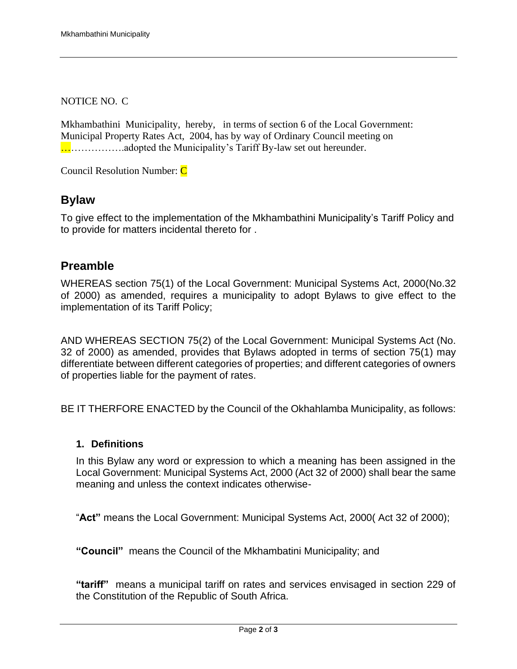NOTICE NO. C

Mkhambathini Municipality, hereby, in terms of section 6 of the Local Government: Municipal Property Rates Act, 2004, has by way of Ordinary Council meeting on ……………….adopted the Municipality's Tariff By-law set out hereunder.

Council Resolution Number: C

### **Bylaw**

To give effect to the implementation of the Mkhambathini Municipality's Tariff Policy and to provide for matters incidental thereto for .

## **Preamble**

WHEREAS section 75(1) of the Local Government: Municipal Systems Act, 2000(No.32 of 2000) as amended, requires a municipality to adopt Bylaws to give effect to the implementation of its Tariff Policy;

AND WHEREAS SECTION 75(2) of the Local Government: Municipal Systems Act (No. 32 of 2000) as amended, provides that Bylaws adopted in terms of section 75(1) may differentiate between different categories of properties; and different categories of owners of properties liable for the payment of rates.

BE IT THERFORE ENACTED by the Council of the Okhahlamba Municipality, as follows:

#### **1. Definitions**

In this Bylaw any word or expression to which a meaning has been assigned in the Local Government: Municipal Systems Act, 2000 (Act 32 of 2000) shall bear the same meaning and unless the context indicates otherwise-

"**Act"** means the Local Government: Municipal Systems Act, 2000( Act 32 of 2000);

**"Council"** means the Council of the Mkhambatini Municipality; and

**"tariff"** means a municipal tariff on rates and services envisaged in section 229 of the Constitution of the Republic of South Africa.